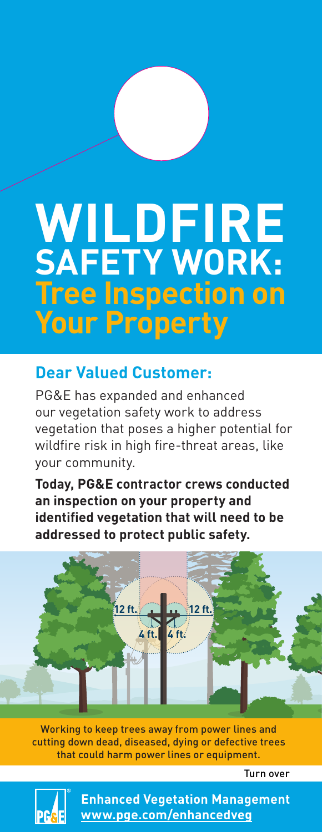## **WILDFIRE SAFETY WORK: Tree Inspection on Your Property**

## **Dear Valued Customer:**

PG&E has expanded and enhanced our vegetation safety work to address vegetation that poses a higher potential for wildfire risk in high fire-threat areas, like your community.

**Today, PG&E contractor crews conducted an inspection on your property and identified vegetation that will need to be addressed to protect public safety.**



Working to keep trees away from power lines and cutting down dead, diseased, dying or defective trees that could harm power lines or equipment.

Turn over



**Enhanced Vegetation Management [www.pge.com/enhancedveg](http://www.pge.com/enhancedveg)**